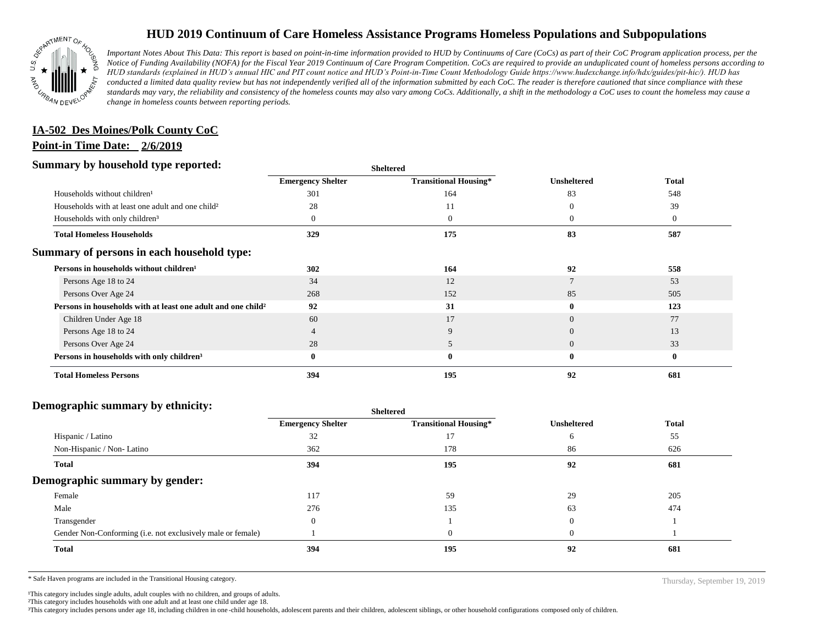

# **HUD 2019 Continuum of Care Homeless Assistance Programs Homeless Populations and Subpopulations**

*Important Notes About This Data: This report is based on point-in-time information provided to HUD by Continuums of Care (CoCs) as part of their CoC Program application process, per the Notice of Funding Availability (NOFA) for the Fiscal Year 2019 Continuum of Care Program Competition. CoCs are required to provide an unduplicated count of homeless persons according to HUD standards (explained in HUD's annual HIC and PIT count notice and HUD's Point-in-Time Count Methodology Guide https://www.hudexchange.info/hdx/guides/pit-hic/). HUD has conducted a limited data quality review but has not independently verified all of the information submitted by each CoC. The reader is therefore cautioned that since compliance with these*  standards may vary, the reliability and consistency of the homeless counts may also vary among CoCs. Additionally, a shift in the methodology a CoC uses to count the homeless may cause a *change in homeless counts between reporting periods.*

# **IA-502 Des Moines/Polk County CoC**

## **Point-in Time Date: 2/6/2019**

#### **Summary by household type reported:**

| эчнинагу бу почвеною туре герогіесі:                                     | <b>Sheltered</b>         |                              |                    |                |
|--------------------------------------------------------------------------|--------------------------|------------------------------|--------------------|----------------|
|                                                                          | <b>Emergency Shelter</b> | <b>Transitional Housing*</b> | <b>Unsheltered</b> | <b>Total</b>   |
| Households without children <sup>1</sup>                                 | 301                      | 164                          | 83                 | 548            |
| Households with at least one adult and one child?                        | 28                       | 11                           | $\Omega$           | 39             |
| Households with only children <sup>3</sup>                               |                          | $\theta$                     | $\theta$           | $\overline{0}$ |
| <b>Total Homeless Households</b>                                         | 329                      | 175                          | 83                 | 587            |
| Summary of persons in each household type:                               |                          |                              |                    |                |
| Persons in households without children <sup>1</sup>                      | 302                      | 164                          | 92                 | 558            |
| Persons Age 18 to 24                                                     | 34                       | 12                           |                    | 53             |
| Persons Over Age 24                                                      | 268                      | 152                          | 85                 | 505            |
| Persons in households with at least one adult and one child <sup>2</sup> | 92                       | 31                           | $\mathbf{0}$       | 123            |
| Children Under Age 18                                                    | 60                       | 17                           | $\overline{0}$     | 77             |
| Persons Age 18 to 24                                                     |                          | 9                            | $\Omega$           | 13             |
| Persons Over Age 24                                                      | 28                       | 5                            | $\Omega$           | 33             |
| Persons in households with only children <sup>3</sup>                    | $\mathbf{0}$             | $\bf{0}$                     | $\bf{0}$           | $\mathbf{0}$   |
| <b>Total Homeless Persons</b>                                            | 394                      | 195                          | 92                 | 681            |

#### **Demographic summary by ethnicity:**

| ັ<br>. .<br>$\bullet$<br>$\ddot{\phantom{1}}$               | Sheltered                |                              |                    |              |
|-------------------------------------------------------------|--------------------------|------------------------------|--------------------|--------------|
|                                                             | <b>Emergency Shelter</b> | <b>Transitional Housing*</b> | <b>Unsheltered</b> | <b>Total</b> |
| Hispanic / Latino                                           | 32                       | 17                           |                    | 55           |
| Non-Hispanic / Non-Latino                                   | 362                      | 178                          | 86                 | 626          |
| <b>Total</b>                                                | 394                      | 195                          | 92                 | 681          |
| Demographic summary by gender:                              |                          |                              |                    |              |
| Female                                                      | 117                      | 59                           | 29                 | 205          |
| Male                                                        | 276                      | 135                          | 63                 | 474          |
| Transgender                                                 | $\Omega$                 |                              | $\mathbf{0}$       |              |
| Gender Non-Conforming (i.e. not exclusively male or female) |                          | $\boldsymbol{0}$             | $\theta$           |              |
| Total                                                       | 394                      | 195                          | 92                 | 681          |
|                                                             |                          |                              |                    |              |

**Sheltered**

\* Safe Haven programs are included in the Transitional Housing category. Thursday, September 19, 2019

<sup>1</sup>This category includes single adults, adult couples with no children, and groups of adults.

²This category includes households with one adult and at least one child under age 18.

³This category includes persons under age 18, including children in one -child households, adolescent parents and their children, adolescent siblings, or other household configurations composed only of children.